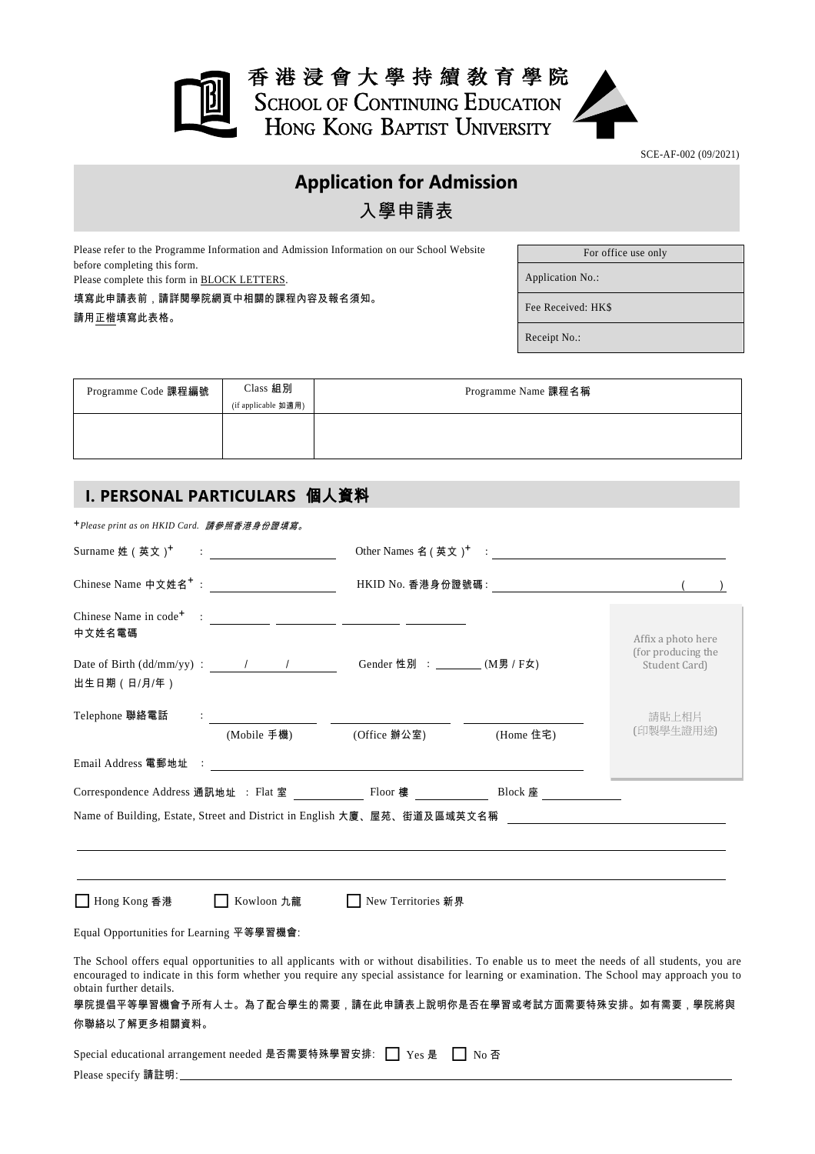

SCE-AF-002 (09/2021)

# **Application for Admission** 入學申請表

Please refer to the Programme Information and Admission Information on our School Website before completing this form.

Please complete this form in BLOCK LETTERS.

填寫此申請表前,請詳閱學院網頁中相關的課程內容及報名須知。 請用正楷填寫此表格。

For office use only

Application No.:

Fee Received: HK\$

Receipt No.:

| Programme Code 課程編號 | Class 組別<br>(if applicable 如適用) | Programme Name 課程名稱 |
|---------------------|---------------------------------|---------------------|
|                     |                                 |                     |

# **I. PERSONAL PARTICULARS** 個人資料

+*Please print as on HKID Card.* 請參照香港身份證填寫。

| Surname 姓 (英文) <sup>+</sup>                                       | $\begin{minipage}{.4\linewidth} \begin{tabular}{ c c c c c } \hline \multicolumn{3}{ c }{\textbf{1}} & \multicolumn{3}{ c }{\textbf{2}} & \multicolumn{3}{ c }{\textbf{3}} & \multicolumn{3}{ c }{\textbf{4}} & \multicolumn{3}{ c }{\textbf{5}} & \multicolumn{3}{ c }{\textbf{6}} & \multicolumn{3}{ c }{\textbf{7}} & \multicolumn{3}{ c }{\textbf{8}} & \multicolumn{3}{ c }{\textbf{9}} & \multicolumn{3}{ c }{\textbf{1}} & \multicolumn{3}{$ |                                |           |                                                                                                                                                                                                                                                                                                                                                               |
|-------------------------------------------------------------------|-----------------------------------------------------------------------------------------------------------------------------------------------------------------------------------------------------------------------------------------------------------------------------------------------------------------------------------------------------------------------------------------------------------------------------------------------------|--------------------------------|-----------|---------------------------------------------------------------------------------------------------------------------------------------------------------------------------------------------------------------------------------------------------------------------------------------------------------------------------------------------------------------|
|                                                                   |                                                                                                                                                                                                                                                                                                                                                                                                                                                     |                                |           |                                                                                                                                                                                                                                                                                                                                                               |
| 中文姓名電碼<br>Date of Birth $(dd/mm/yy)$ : $\qquad \qquad /$          |                                                                                                                                                                                                                                                                                                                                                                                                                                                     | Gender 性別 : ________ (M男 / F女) |           | Affix a photo here<br>(for producing the<br>Student Card)                                                                                                                                                                                                                                                                                                     |
| 出生日期 (日/月/年)<br>Telephone 聯絡電話                                    |                                                                                                                                                                                                                                                                                                                                                                                                                                                     |                                |           |                                                                                                                                                                                                                                                                                                                                                               |
|                                                                   | (Mobile 手機)                                                                                                                                                                                                                                                                                                                                                                                                                                         | (Office 辦公室)                   | (Home 住宅) | 請貼上相片<br>(印製學生證用途)                                                                                                                                                                                                                                                                                                                                            |
|                                                                   |                                                                                                                                                                                                                                                                                                                                                                                                                                                     |                                |           |                                                                                                                                                                                                                                                                                                                                                               |
|                                                                   |                                                                                                                                                                                                                                                                                                                                                                                                                                                     |                                |           |                                                                                                                                                                                                                                                                                                                                                               |
|                                                                   |                                                                                                                                                                                                                                                                                                                                                                                                                                                     |                                |           |                                                                                                                                                                                                                                                                                                                                                               |
| ■ Hong Kong 香港                                                    | □ Kowloon 九龍                                                                                                                                                                                                                                                                                                                                                                                                                                        | New Territories 新界             |           |                                                                                                                                                                                                                                                                                                                                                               |
| Equal Opportunities for Learning 平等學習機會:                          |                                                                                                                                                                                                                                                                                                                                                                                                                                                     |                                |           |                                                                                                                                                                                                                                                                                                                                                               |
| obtain further details.<br>你聯絡以了解更多相關資料。                          |                                                                                                                                                                                                                                                                                                                                                                                                                                                     |                                |           | The School offers equal opportunities to all applicants with or without disabilities. To enable us to meet the needs of all students, you are<br>encouraged to indicate in this form whether you require any special assistance for learning or examination. The School may approach you to<br>學院提倡平等學習機會予所有人士。為了配合學生的需要,請在此申請表上說明你是否在學習或考試方面需要特殊安排。如有需要,學院將與 |
| Special educational arrangement needed 是否需要特殊學習安排: □ Yes 是 □ No 否 |                                                                                                                                                                                                                                                                                                                                                                                                                                                     |                                |           |                                                                                                                                                                                                                                                                                                                                                               |
|                                                                   |                                                                                                                                                                                                                                                                                                                                                                                                                                                     |                                |           |                                                                                                                                                                                                                                                                                                                                                               |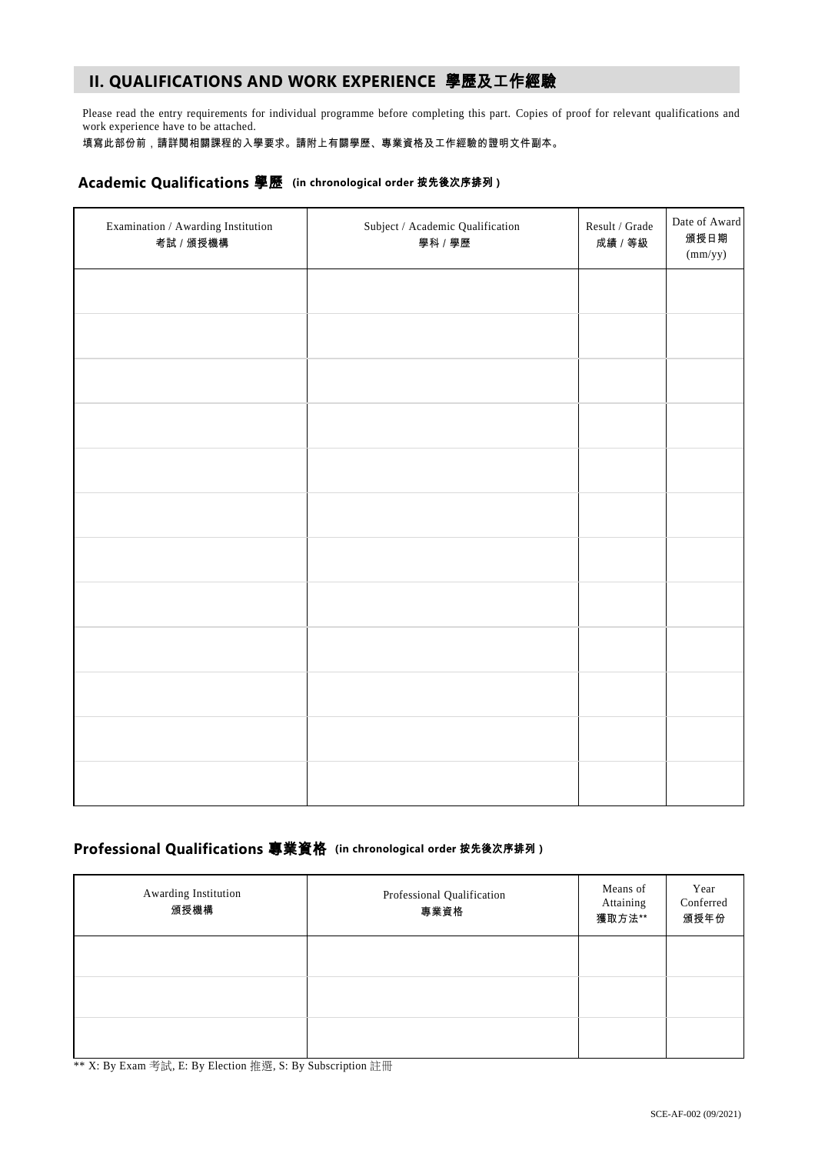# **II. QUALIFICATIONS AND WORK EXPERIENCE** 學歷及工作經驗

Please read the entry requirements for individual programme before completing this part. Copies of proof for relevant qualifications and work experience have to be attached.

填寫此部份前,請詳閱相關課程的入學要求。請附上有關學歷、專業資格及工作經驗的證明文件副本。

### **Academic Qualifications** 學歷 **(in chronological order** 按先後次序排列 **)**

| Examination / Awarding Institution<br>考試 / 頒授機構 | ${\bf Subject}$ / Academic Qualification<br>學科 / 學歷 | Result / Grade<br>成績 / 等級 | Date of Award<br>頒授日期<br>(mm/yy) |
|-------------------------------------------------|-----------------------------------------------------|---------------------------|----------------------------------|
|                                                 |                                                     |                           |                                  |
|                                                 |                                                     |                           |                                  |
|                                                 |                                                     |                           |                                  |
|                                                 |                                                     |                           |                                  |
|                                                 |                                                     |                           |                                  |
|                                                 |                                                     |                           |                                  |
|                                                 |                                                     |                           |                                  |
|                                                 |                                                     |                           |                                  |
|                                                 |                                                     |                           |                                  |
|                                                 |                                                     |                           |                                  |
|                                                 |                                                     |                           |                                  |
|                                                 |                                                     |                           |                                  |

## **Professional Qualifications** 專業資格 **(in chronological order** 按先後次序排列 **)**

| Awarding Institution<br>頒授機構 | Professional Qualification<br>專業資格 | Means of<br>Attaining<br>獲取方法** | Year<br>Conferred<br>頒授年份 |
|------------------------------|------------------------------------|---------------------------------|---------------------------|
|                              |                                    |                                 |                           |
|                              |                                    |                                 |                           |
|                              |                                    |                                 |                           |

\*\* X: By Exam 考試, E: By Election 推選, S: By Subscription 註冊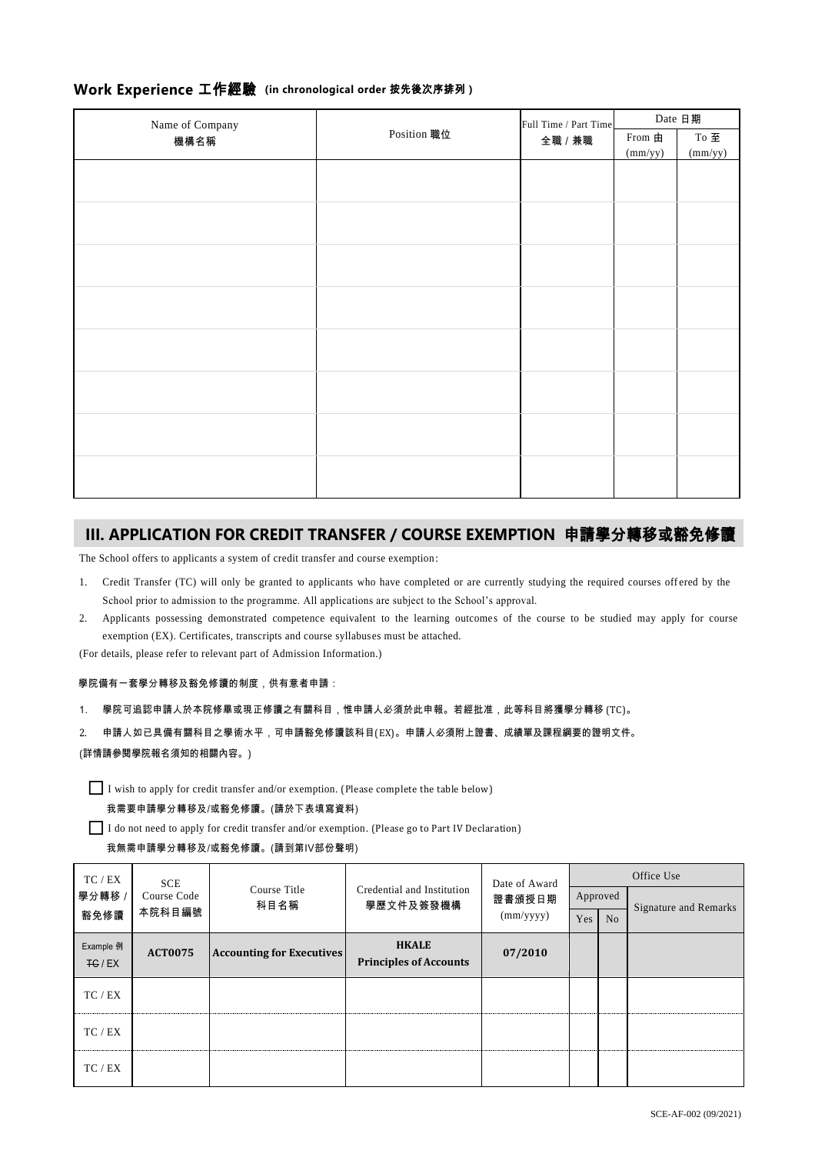| Work Experience 工作經驗 (in chronological order 按先後次序排列) |  |  |
|-------------------------------------------------------|--|--|
|-------------------------------------------------------|--|--|

| Name of Company |             | Full Time / Part Time | Date 日期         |                   |  |
|-----------------|-------------|-----------------------|-----------------|-------------------|--|
| 機構名稱            | Position 職位 |                       | From $\boxplus$ | To $\mathbf{\Xi}$ |  |
|                 |             | 全職 / 兼職               | (mm/yy)         | (mm/yy)           |  |
|                 |             |                       |                 |                   |  |
|                 |             |                       |                 |                   |  |
|                 |             |                       |                 |                   |  |
|                 |             |                       |                 |                   |  |
|                 |             |                       |                 |                   |  |
|                 |             |                       |                 |                   |  |
|                 |             |                       |                 |                   |  |
|                 |             |                       |                 |                   |  |
|                 |             |                       |                 |                   |  |
|                 |             |                       |                 |                   |  |
|                 |             |                       |                 |                   |  |
|                 |             |                       |                 |                   |  |
|                 |             |                       |                 |                   |  |
|                 |             |                       |                 |                   |  |
|                 |             |                       |                 |                   |  |
|                 |             |                       |                 |                   |  |
|                 |             |                       |                 |                   |  |

# **III. APPLICATION FOR CREDIT TRANSFER / COURSE EXEMPTION** 申請學分轉移或豁免修讀

The School offers to applicants a system of credit transfer and course exemption :

- 1. Credit Transfer (TC) will only be granted to applicants who have completed or are currently studying the required courses off ered by the School prior to admission to the programme. All applications are subject to the School's approval.
- 2. Applicants possessing demonstrated competence equivalent to the learning outcomes of the course to be studied may apply for course exemption (EX). Certificates, transcripts and course syllabuses must be attached.

(For details, please refer to relevant part of Admission Information.)

#### 學院備有一套學分轉移及豁免修讀的制度,供有意者申請:

- 1. 學院可追認申請人於本院修畢或現正修讀之有關科目,惟申請人必須於此申報。若經批准,此等科目將獲學分轉移 (TC)。
- 2. 申請人如已具備有關科目之學術水平,可申請豁免修讀該科目(EX)。申請人必須附上證書、成績單及課程綱要的證明文件。
- (詳情請參閱學院報名須知的相關內容。)

 $\prod$  I wish to apply for credit transfer and/or exemption. (Please complete the table below)

#### 我需要申請學分轉移及/或豁免修讀。(請於下表填寫資料)

I do not need to apply for credit transfer and/or exemption. (Please go to Part IV Declaration)

#### 我無需申請學分轉移及/或豁免修讀。(請到第IV部份聲明)

|                                      | TC / EX | <b>SCE</b><br>Course Code<br>本院科目編號 | Course Title<br>科目名稱                          |                                         | Date of Award       | Office Use |                |                              |  |
|--------------------------------------|---------|-------------------------------------|-----------------------------------------------|-----------------------------------------|---------------------|------------|----------------|------------------------------|--|
|                                      | 學分轉移 /  |                                     |                                               | Credential and Institution<br>學歷文件及簽發機構 | 證書頒授日期<br>(mm/yyyy) | Approved   |                | <b>Signature and Remarks</b> |  |
|                                      | 豁免修讀    |                                     |                                               |                                         |                     | Yes        | N <sub>o</sub> |                              |  |
| Example 例<br><b>ACT0075</b><br>FG/EX |         | <b>Accounting for Executives</b>    | <b>HKALE</b><br><b>Principles of Accounts</b> | 07/2010                                 |                     |            |                |                              |  |
|                                      | TC/EX   |                                     |                                               |                                         |                     |            |                |                              |  |
|                                      | TC / EX |                                     |                                               |                                         |                     |            |                |                              |  |
|                                      | TC / EX |                                     |                                               |                                         |                     |            |                |                              |  |